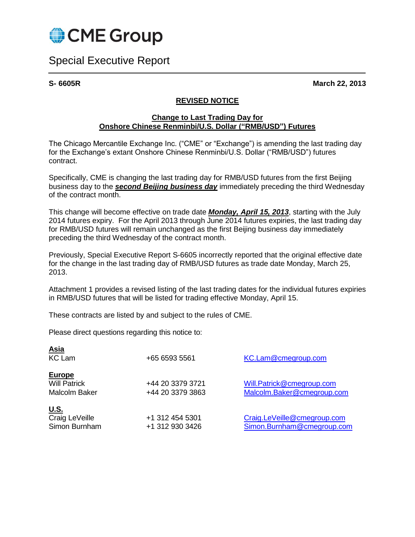

Special Executive Report

**S- 6605R March 22, 2013**

## **REVISED NOTICE**

## **Change to Last Trading Day for Onshore Chinese Renminbi/U.S. Dollar ("RMB/USD") Futures**

The Chicago Mercantile Exchange Inc. ("CME" or "Exchange") is amending the last trading day for the Exchange's extant Onshore Chinese Renminbi/U.S. Dollar ("RMB/USD") futures contract.

Specifically, CME is changing the last trading day for RMB/USD futures from the first Beijing business day to the *second Beijing business day* immediately preceding the third Wednesday of the contract month.

This change will become effective on trade date *Monday, April 15, 2013*, starting with the July 2014 futures expiry. For the April 2013 through June 2014 futures expiries, the last trading day for RMB/USD futures will remain unchanged as the first Beijing business day immediately preceding the third Wednesday of the contract month.

Previously, Special Executive Report S-6605 incorrectly reported that the original effective date for the change in the last trading day of RMB/USD futures as trade date Monday, March 25, 2013.

Attachment 1 provides a revised listing of the last trading dates for the individual futures expiries in RMB/USD futures that will be listed for trading effective Monday, April 15.

These contracts are listed by and subject to the rules of CME.

Please direct questions regarding this notice to:

| <u>Asia</u><br><b>KC</b> Lam                                 | +65 6593 5561                        | KC.Lam@cmegroup.com                                       |
|--------------------------------------------------------------|--------------------------------------|-----------------------------------------------------------|
| <b>Europe</b><br><b>Will Patrick</b><br><b>Malcolm Baker</b> | +44 20 3379 3721<br>+44 20 3379 3863 | Will.Patrick@cmegroup.com<br>Malcolm.Baker@cmegroup.com   |
| <u>U.S.</u><br>Craig LeVeille<br>Simon Burnham               | +1 312 454 5301<br>+1 312 930 3426   | Craig.LeVeille@cmegroup.com<br>Simon.Burnham@cmegroup.com |